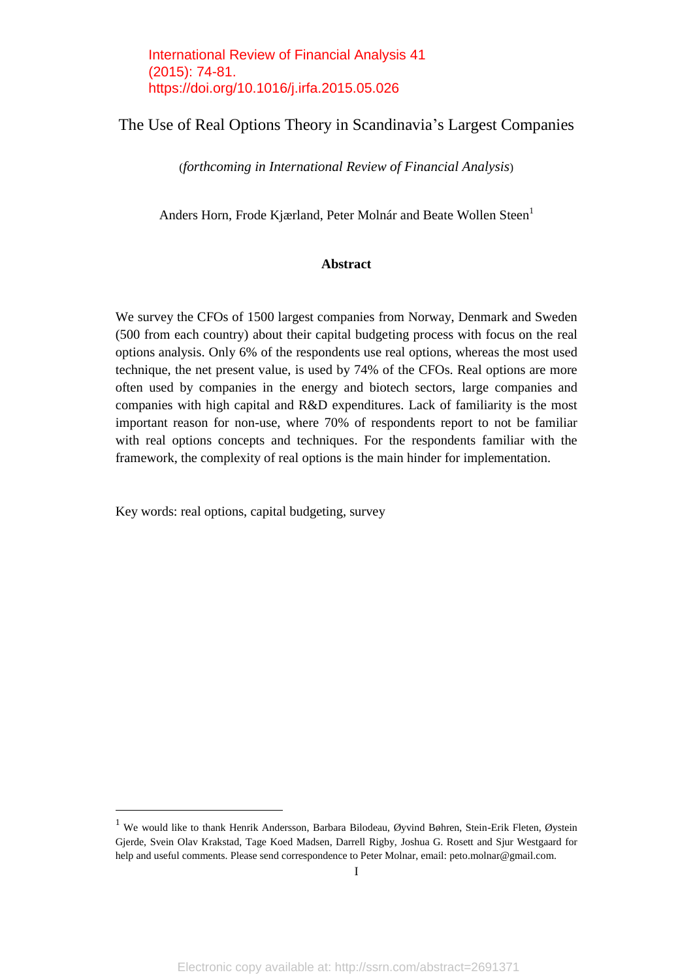International Review of Financial Analysis 41 (2015): 74-81. https://doi.org/10.1016/j.irfa.2015.05.026

## The Use of Real Options Theory in Scandinavia's Largest Companies

(*forthcoming in International Review of Financial Analysis*)

Anders Horn, Frode Kjærland, Peter Molnár and Beate Wollen Steen<sup>1</sup>

#### **Abstract**

We survey the CFOs of 1500 largest companies from Norway, Denmark and Sweden (500 from each country) about their capital budgeting process with focus on the real options analysis. Only 6% of the respondents use real options, whereas the most used technique, the net present value, is used by 74% of the CFOs. Real options are more often used by companies in the energy and biotech sectors, large companies and companies with high capital and R&D expenditures. Lack of familiarity is the most important reason for non-use, where 70% of respondents report to not be familiar with real options concepts and techniques. For the respondents familiar with the framework, the complexity of real options is the main hinder for implementation.

Key words: real options, capital budgeting, survey

<sup>1</sup> We would like to thank Henrik Andersson, Barbara Bilodeau, Øyvind Bøhren, Stein-Erik Fleten, Øystein Gjerde, Svein Olav Krakstad, Tage Koed Madsen, Darrell Rigby, Joshua G. Rosett and Sjur Westgaard for help and useful comments. Please send correspondence to Peter Molnar, email: peto.molnar@gmail.com.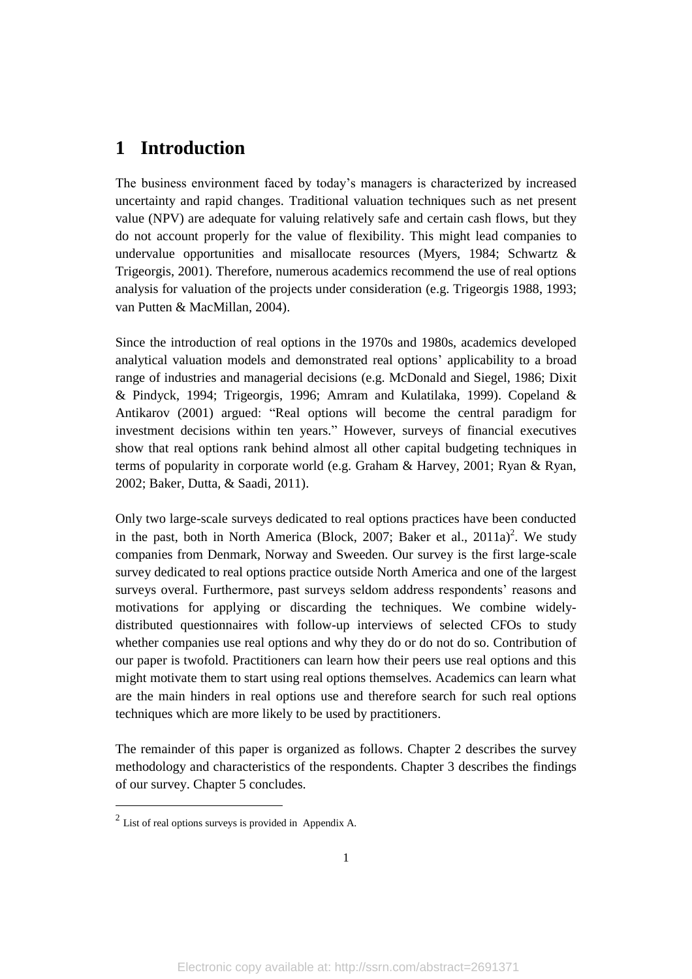# **1 Introduction**

The business environment faced by today's managers is characterized by increased uncertainty and rapid changes. Traditional valuation techniques such as net present value (NPV) are adequate for valuing relatively safe and certain cash flows, but they do not account properly for the value of flexibility. This might lead companies to undervalue opportunities and misallocate resources (Myers, 1984; Schwartz & Trigeorgis, 2001). Therefore, numerous academics recommend the use of real options analysis for valuation of the projects under consideration (e.g. Trigeorgis 1988, 1993; van Putten & MacMillan, 2004).

Since the introduction of real options in the 1970s and 1980s, academics developed analytical valuation models and demonstrated real options' applicability to a broad range of industries and managerial decisions (e.g. McDonald and Siegel, 1986; Dixit & Pindyck, 1994; Trigeorgis, 1996; Amram and Kulatilaka, 1999). Copeland & Antikarov (2001) argued: "Real options will become the central paradigm for investment decisions within ten years." However, surveys of financial executives show that real options rank behind almost all other capital budgeting techniques in terms of popularity in corporate world (e.g. Graham & Harvey, 2001; Ryan & Ryan, 2002; Baker, Dutta, & Saadi, 2011).

Only two large-scale surveys dedicated to real options practices have been conducted in the past, both in North America (Block, 2007; Baker et al.,  $2011a)^2$ . We study companies from Denmark, Norway and Sweeden. Our survey is the first large-scale survey dedicated to real options practice outside North America and one of the largest surveys overal. Furthermore, past surveys seldom address respondents' reasons and motivations for applying or discarding the techniques. We combine widelydistributed questionnaires with follow-up interviews of selected CFOs to study whether companies use real options and why they do or do not do so. Contribution of our paper is twofold. Practitioners can learn how their peers use real options and this might motivate them to start using real options themselves. Academics can learn what are the main hinders in real options use and therefore search for such real options techniques which are more likely to be used by practitioners.

The remainder of this paper is organized as follows. Chapter 2 describes the survey methodology and characteristics of the respondents. Chapter 3 describes the findings of our survey. Chapter 5 concludes.

 $2$  List of real options surveys is provided in Appendix A.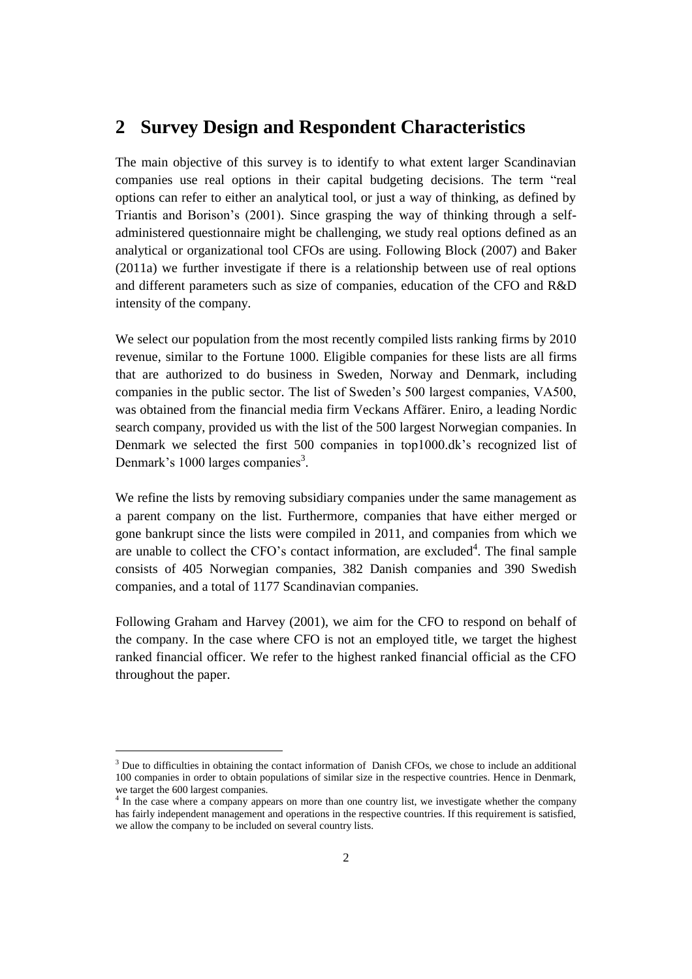# **2 Survey Design and Respondent Characteristics**

The main objective of this survey is to identify to what extent larger Scandinavian companies use real options in their capital budgeting decisions. The term "real options can refer to either an analytical tool, or just a way of thinking, as defined by Triantis and Borison's (2001). Since grasping the way of thinking through a selfadministered questionnaire might be challenging, we study real options defined as an analytical or organizational tool CFOs are using. Following Block (2007) and Baker (2011a) we further investigate if there is a relationship between use of real options and different parameters such as size of companies, education of the CFO and R&D intensity of the company.

We select our population from the most recently compiled lists ranking firms by 2010 revenue, similar to the Fortune 1000. Eligible companies for these lists are all firms that are authorized to do business in Sweden, Norway and Denmark, including companies in the public sector. The list of Sweden's 500 largest companies, VA500, was obtained from the financial media firm Veckans Affärer. Eniro, a leading Nordic search company, provided us with the list of the 500 largest Norwegian companies. In Denmark we selected the first 500 companies in top1000.dk's recognized list of Denmark's 1000 larges companies<sup>3</sup>.

We refine the lists by removing subsidiary companies under the same management as a parent company on the list. Furthermore, companies that have either merged or gone bankrupt since the lists were compiled in 2011, and companies from which we are unable to collect the CFO's contact information, are excluded<sup>4</sup>. The final sample consists of 405 Norwegian companies, 382 Danish companies and 390 Swedish companies, and a total of 1177 Scandinavian companies.

Following Graham and Harvey (2001), we aim for the CFO to respond on behalf of the company. In the case where CFO is not an employed title, we target the highest ranked financial officer. We refer to the highest ranked financial official as the CFO throughout the paper.

 $\overline{a}$ 

<sup>&</sup>lt;sup>3</sup> Due to difficulties in obtaining the contact information of Danish CFOs, we chose to include an additional 100 companies in order to obtain populations of similar size in the respective countries. Hence in Denmark, we target the 600 largest companies.<br><sup>4</sup> In the case where a company appe

In the case where a company appears on more than one country list, we investigate whether the company has fairly independent management and operations in the respective countries. If this requirement is satisfied, we allow the company to be included on several country lists.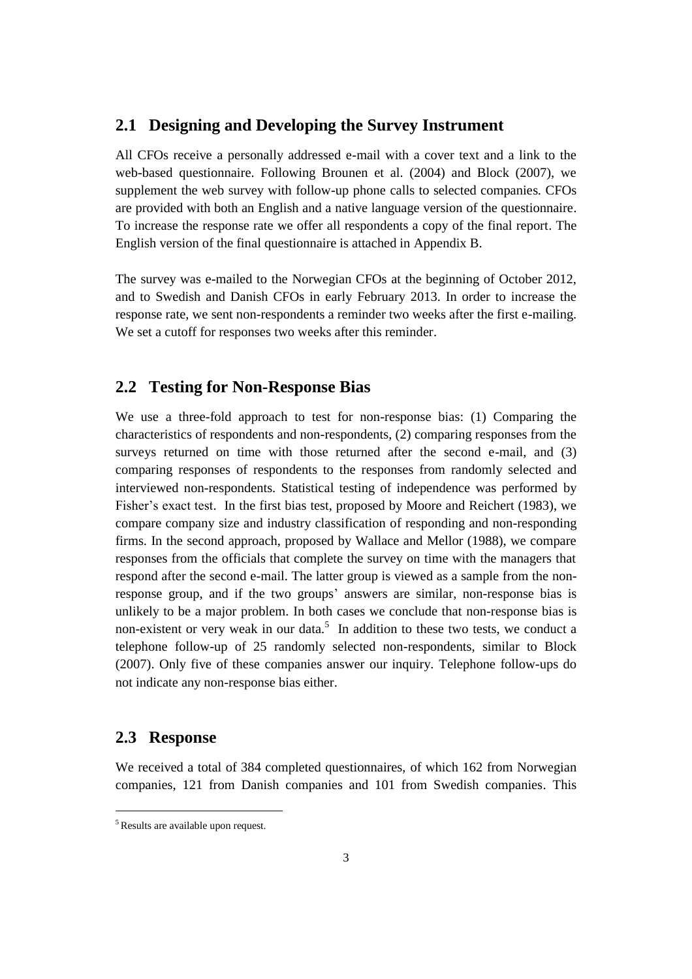#### **2.1 Designing and Developing the Survey Instrument**

All CFOs receive a personally addressed e-mail with a cover text and a link to the web-based questionnaire. Following Brounen et al. (2004) and Block (2007), we supplement the web survey with follow-up phone calls to selected companies. CFOs are provided with both an English and a native language version of the questionnaire. To increase the response rate we offer all respondents a copy of the final report. The English version of the final questionnaire is attached in Appendix B.

The survey was e-mailed to the Norwegian CFOs at the beginning of October 2012, and to Swedish and Danish CFOs in early February 2013. In order to increase the response rate, we sent non-respondents a reminder two weeks after the first e-mailing. We set a cutoff for responses two weeks after this reminder.

## **2.2 Testing for Non-Response Bias**

We use a three-fold approach to test for non-response bias: (1) Comparing the characteristics of respondents and non-respondents, (2) comparing responses from the surveys returned on time with those returned after the second e-mail, and (3) comparing responses of respondents to the responses from randomly selected and interviewed non-respondents. Statistical testing of independence was performed by Fisher's exact test. In the first bias test, proposed by Moore and Reichert (1983), we compare company size and industry classification of responding and non-responding firms. In the second approach, proposed by Wallace and Mellor (1988), we compare responses from the officials that complete the survey on time with the managers that respond after the second e-mail. The latter group is viewed as a sample from the nonresponse group, and if the two groups' answers are similar, non-response bias is unlikely to be a major problem. In both cases we conclude that non-response bias is non-existent or very weak in our data.<sup>5</sup> In addition to these two tests, we conduct a telephone follow-up of 25 randomly selected non-respondents, similar to Block (2007). Only five of these companies answer our inquiry. Telephone follow-ups do not indicate any non-response bias either.

#### **2.3 Response**

We received a total of 384 completed questionnaires, of which 162 from Norwegian companies, 121 from Danish companies and 101 from Swedish companies. This

<sup>5</sup> Results are available upon request.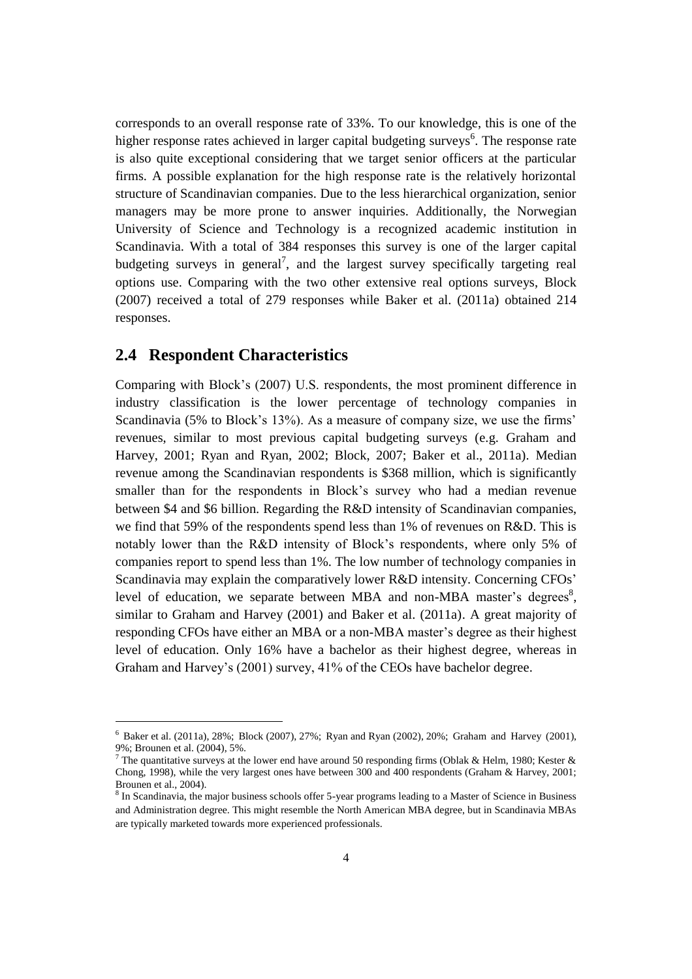corresponds to an overall response rate of 33%. To our knowledge, this is one of the higher response rates achieved in larger capital budgeting surveys<sup>6</sup>. The response rate is also quite exceptional considering that we target senior officers at the particular firms. A possible explanation for the high response rate is the relatively horizontal structure of Scandinavian companies. Due to the less hierarchical organization, senior managers may be more prone to answer inquiries. Additionally, the Norwegian University of Science and Technology is a recognized academic institution in Scandinavia. With a total of 384 responses this survey is one of the larger capital budgeting surveys in general<sup>7</sup>, and the largest survey specifically targeting real options use. Comparing with the two other extensive real options surveys, Block (2007) received a total of 279 responses while Baker et al. (2011a) obtained 214 responses.

#### **2.4 Respondent Characteristics**

 $\overline{a}$ 

Comparing with Block's (2007) U.S. respondents, the most prominent difference in industry classification is the lower percentage of technology companies in Scandinavia (5% to Block's 13%). As a measure of company size, we use the firms' revenues, similar to most previous capital budgeting surveys (e.g. Graham and Harvey, 2001; Ryan and Ryan, 2002; Block, 2007; Baker et al., 2011a). Median revenue among the Scandinavian respondents is \$368 million, which is significantly smaller than for the respondents in Block's survey who had a median revenue between \$4 and \$6 billion. Regarding the R&D intensity of Scandinavian companies, we find that 59% of the respondents spend less than 1% of revenues on R&D. This is notably lower than the R&D intensity of Block's respondents, where only 5% of companies report to spend less than 1%. The low number of technology companies in Scandinavia may explain the comparatively lower R&D intensity. Concerning CFOs' level of education, we separate between MBA and non-MBA master's degrees $^{8}$ , similar to Graham and Harvey (2001) and Baker et al. (2011a). A great majority of responding CFOs have either an MBA or a non-MBA master's degree as their highest level of education. Only 16% have a bachelor as their highest degree, whereas in Graham and Harvey's (2001) survey, 41% of the CEOs have bachelor degree.

 $6$  Baker et al. (2011a), 28%; Block (2007), 27%; Ryan and Ryan (2002), 20%; Graham and Harvey (2001), 9%; Brounen et al. (2004), 5%.

<sup>&</sup>lt;sup>7</sup> The quantitative surveys at the lower end have around 50 responding firms (Oblak & Helm, 1980; Kester & Chong, 1998), while the very largest ones have between 300 and 400 respondents (Graham & Harvey, 2001; Brounen et al., 2004).

<sup>&</sup>lt;sup>8</sup> In Scandinavia, the major business schools offer 5-year programs leading to a Master of Science in Business and Administration degree. This might resemble the North American MBA degree, but in Scandinavia MBAs are typically marketed towards more experienced professionals.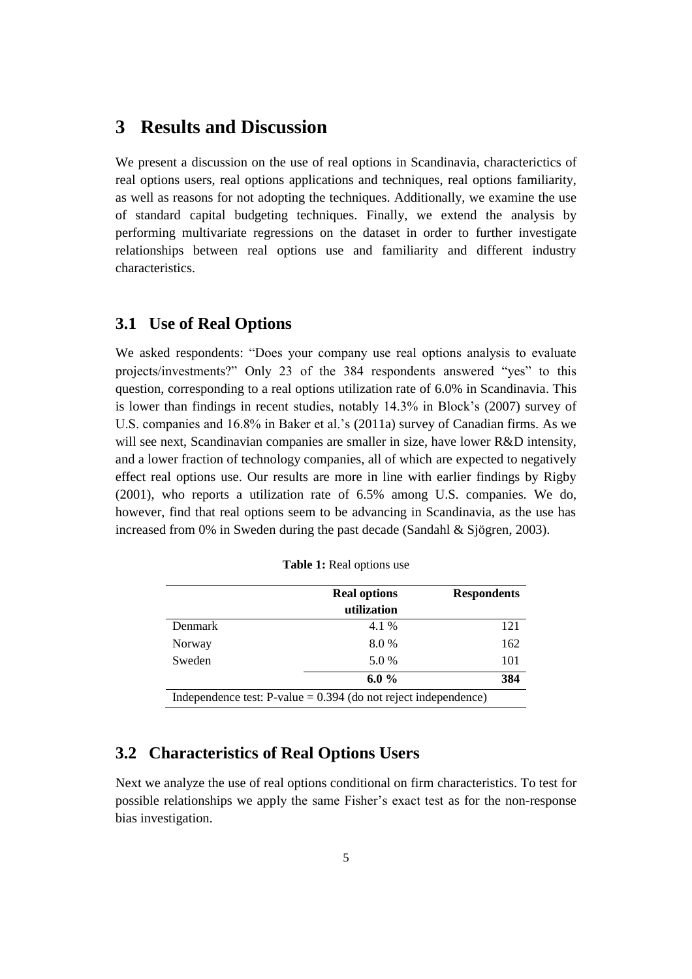# **3 Results and Discussion**

We present a discussion on the use of real options in Scandinavia, characterictics of real options users, real options applications and techniques, real options familiarity, as well as reasons for not adopting the techniques. Additionally, we examine the use of standard capital budgeting techniques. Finally, we extend the analysis by performing multivariate regressions on the dataset in order to further investigate relationships between real options use and familiarity and different industry characteristics.

#### **3.1 Use of Real Options**

We asked respondents: "Does your company use real options analysis to evaluate projects/investments?" Only 23 of the 384 respondents answered "yes" to this question, corresponding to a real options utilization rate of 6.0% in Scandinavia. This is lower than findings in recent studies, notably 14.3% in Block's (2007) survey of U.S. companies and 16.8% in Baker et al.'s (2011a) survey of Canadian firms. As we will see next, Scandinavian companies are smaller in size, have lower R&D intensity, and a lower fraction of technology companies, all of which are expected to negatively effect real options use. Our results are more in line with earlier findings by Rigby (2001), who reports a utilization rate of 6.5% among U.S. companies. We do, however, find that real options seem to be advancing in Scandinavia, as the use has increased from 0% in Sweden during the past decade (Sandahl & Sjögren, 2003).

|                | <b>Real options</b>                                                | <b>Respondents</b> |
|----------------|--------------------------------------------------------------------|--------------------|
|                | utilization                                                        |                    |
| <b>Denmark</b> | 4.1 %                                                              | 121                |
| Norway         | 8.0 %                                                              | 162                |
| Sweden         | 5.0 %                                                              | 101                |
|                | 6.0 $\%$                                                           | 384                |
|                | Independence test: $P$ -value = 0.394 (do not reject independence) |                    |

**Table 1:** Real options use

## **3.2 Characteristics of Real Options Users**

Next we analyze the use of real options conditional on firm characteristics. To test for possible relationships we apply the same Fisher's exact test as for the non-response bias investigation.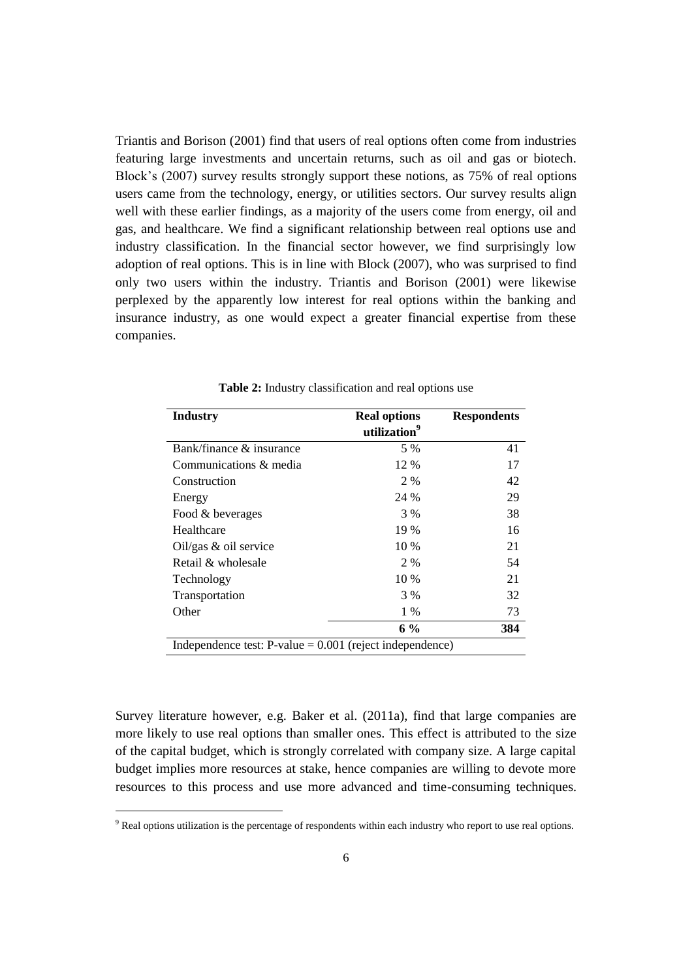Triantis and Borison (2001) find that users of real options often come from industries featuring large investments and uncertain returns, such as oil and gas or biotech. Block's (2007) survey results strongly support these notions, as 75% of real options users came from the technology, energy, or utilities sectors. Our survey results align well with these earlier findings, as a majority of the users come from energy, oil and gas, and healthcare. We find a significant relationship between real options use and industry classification. In the financial sector however, we find surprisingly low adoption of real options. This is in line with Block (2007), who was surprised to find only two users within the industry. Triantis and Borison (2001) were likewise perplexed by the apparently low interest for real options within the banking and insurance industry, as one would expect a greater financial expertise from these companies.

| <b>Industry</b>                                            | <b>Real options</b>      | <b>Respondents</b> |
|------------------------------------------------------------|--------------------------|--------------------|
|                                                            | utilization <sup>9</sup> |                    |
| Bank/finance & insurance                                   | 5 %                      | 41                 |
| Communications & media                                     | 12 %                     | 17                 |
| Construction                                               | 2 %                      | 42                 |
| Energy                                                     | 24 %                     | 29                 |
| Food & beverages                                           | 3 %                      | 38                 |
| Healthcare                                                 | 19 %                     | 16                 |
| Oil/gas $&$ oil service                                    | 10 %                     | 21                 |
| Retail & wholesale                                         | 2 %                      | 54                 |
| Technology                                                 | 10 %                     | 21                 |
| Transportation                                             | 3 %                      | 32                 |
| Other                                                      | 1 %                      | 73                 |
|                                                            | $6\%$                    | 384                |
| Independence test: $P-value = 0.001$ (reject independence) |                          |                    |

**Table 2:** Industry classification and real options use

Survey literature however, e.g. Baker et al. (2011a), find that large companies are more likely to use real options than smaller ones. This effect is attributed to the size of the capital budget, which is strongly correlated with company size. A large capital budget implies more resources at stake, hence companies are willing to devote more resources to this process and use more advanced and time-consuming techniques.

<sup>&</sup>lt;sup>9</sup> Real options utilization is the percentage of respondents within each industry who report to use real options.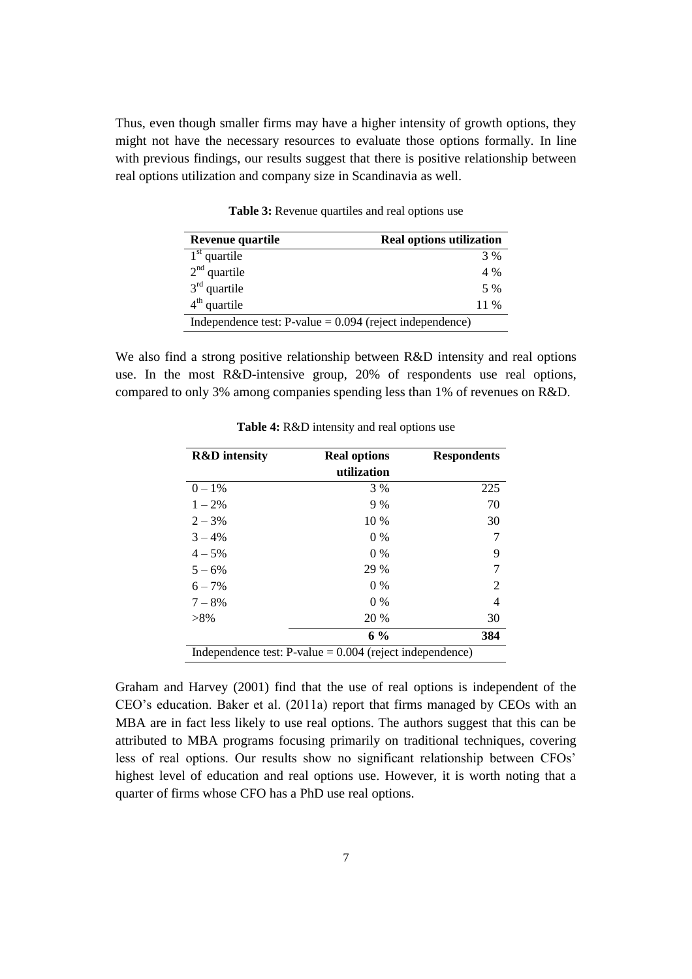Thus, even though smaller firms may have a higher intensity of growth options, they might not have the necessary resources to evaluate those options formally. In line with previous findings, our results suggest that there is positive relationship between real options utilization and company size in Scandinavia as well.

| Revenue quartile                                            | <b>Real options utilization</b> |
|-------------------------------------------------------------|---------------------------------|
| $1st$ quartile                                              | 3 %                             |
| $2nd$ quartile                                              | 4 %                             |
| $3rd$ quartile                                              | 5 %                             |
| $4th$ quartile                                              | 11 %                            |
| Independence test: $P$ -value = 0.094 (reject independence) |                                 |

**Table 3:** Revenue quartiles and real options use

We also find a strong positive relationship between R&D intensity and real options use. In the most R&D-intensive group, 20% of respondents use real options, compared to only 3% among companies spending less than 1% of revenues on R&D.

| <b>R&amp;D</b> intensity                                    | <b>Real options</b> | <b>Respondents</b> |
|-------------------------------------------------------------|---------------------|--------------------|
|                                                             | utilization         |                    |
| $0 - 1%$                                                    | 3 %                 | 225                |
| $1 - 2\%$                                                   | 9%                  | 70                 |
| $2 - 3\%$                                                   | 10 %                | 30                 |
| $3 - 4\%$                                                   | $0\%$               |                    |
| $4 - 5\%$                                                   | $0\%$               | 9                  |
| $5 - 6\%$                                                   | 29 %                | 7                  |
| $6 - 7\%$                                                   | $0\%$               | 2                  |
| $7 - 8\%$                                                   | $0\%$               | 4                  |
| $>8\%$                                                      | 20 %                | 30                 |
|                                                             | $6\%$               | 384                |
| Independence test: $P$ -value = 0.004 (reject independence) |                     |                    |

**Table 4:** R&D intensity and real options use

Graham and Harvey (2001) find that the use of real options is independent of the CEO's education. Baker et al. (2011a) report that firms managed by CEOs with an MBA are in fact less likely to use real options. The authors suggest that this can be attributed to MBA programs focusing primarily on traditional techniques, covering less of real options. Our results show no significant relationship between CFOs' highest level of education and real options use. However, it is worth noting that a quarter of firms whose CFO has a PhD use real options.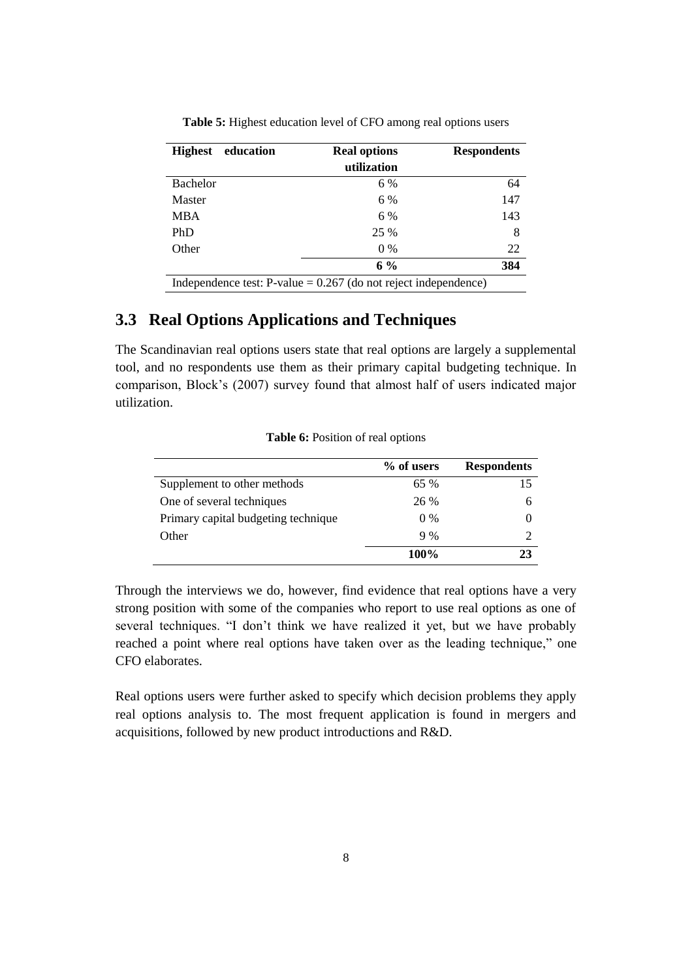| <b>Highest</b><br>education                                        | <b>Real options</b> | <b>Respondents</b> |
|--------------------------------------------------------------------|---------------------|--------------------|
|                                                                    | utilization         |                    |
| <b>Bachelor</b>                                                    | 6 %                 | 64                 |
| Master                                                             | 6 %                 | 147                |
| <b>MBA</b>                                                         | 6 %                 | 143                |
| PhD                                                                | 25 %                | 8                  |
| Other                                                              | $0\%$               | 22                 |
|                                                                    | $6\%$               | 384                |
| Independence test: $P$ -value = 0.267 (do not reject independence) |                     |                    |

**Table 5:** Highest education level of CFO among real options users

# **3.3 Real Options Applications and Techniques**

The Scandinavian real options users state that real options are largely a supplemental tool, and no respondents use them as their primary capital budgeting technique. In comparison, Block's (2007) survey found that almost half of users indicated major utilization.

|                                     | % of users | <b>Respondents</b> |
|-------------------------------------|------------|--------------------|
| Supplement to other methods         | 65%        | 15                 |
| One of several techniques           | 26 %       | h                  |
| Primary capital budgeting technique | $0\%$      |                    |
| Other                               | 9%         |                    |
|                                     | 100%       | 23                 |

**Table 6:** Position of real options

Through the interviews we do, however, find evidence that real options have a very strong position with some of the companies who report to use real options as one of several techniques. "I don't think we have realized it yet, but we have probably reached a point where real options have taken over as the leading technique," one CFO elaborates.

Real options users were further asked to specify which decision problems they apply real options analysis to. The most frequent application is found in mergers and acquisitions, followed by new product introductions and R&D.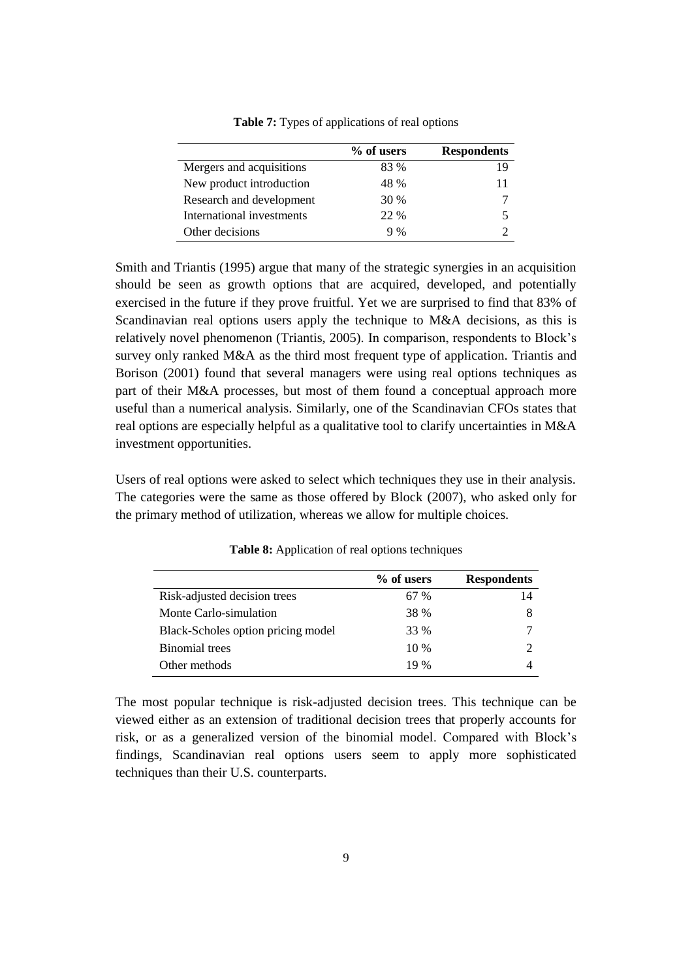|                           | % of users | <b>Respondents</b> |
|---------------------------|------------|--------------------|
| Mergers and acquisitions  | 83 %       | 19                 |
| New product introduction  | 48 %       | 11                 |
| Research and development  | 30 %       |                    |
| International investments | 22 %       |                    |
| Other decisions           | 9%         |                    |

**Table 7:** Types of applications of real options

Smith and Triantis (1995) argue that many of the strategic synergies in an acquisition should be seen as growth options that are acquired, developed, and potentially exercised in the future if they prove fruitful. Yet we are surprised to find that 83% of Scandinavian real options users apply the technique to M&A decisions, as this is relatively novel phenomenon (Triantis, 2005). In comparison, respondents to Block's survey only ranked M&A as the third most frequent type of application. Triantis and Borison (2001) found that several managers were using real options techniques as part of their M&A processes, but most of them found a conceptual approach more useful than a numerical analysis. Similarly, one of the Scandinavian CFOs states that real options are especially helpful as a qualitative tool to clarify uncertainties in M&A investment opportunities.

Users of real options were asked to select which techniques they use in their analysis. The categories were the same as those offered by Block (2007), who asked only for the primary method of utilization, whereas we allow for multiple choices.

|                                    | % of users | <b>Respondents</b> |
|------------------------------------|------------|--------------------|
| Risk-adjusted decision trees       | 67 %       | 14                 |
| Monte Carlo-simulation             | 38 %       | 8                  |
| Black-Scholes option pricing model | 33 %       |                    |
| <b>Binomial</b> trees              | $10\%$     |                    |
| Other methods                      | 19 %       |                    |

**Table 8:** Application of real options techniques

The most popular technique is risk-adjusted decision trees. This technique can be viewed either as an extension of traditional decision trees that properly accounts for risk, or as a generalized version of the binomial model. Compared with Block's findings, Scandinavian real options users seem to apply more sophisticated techniques than their U.S. counterparts.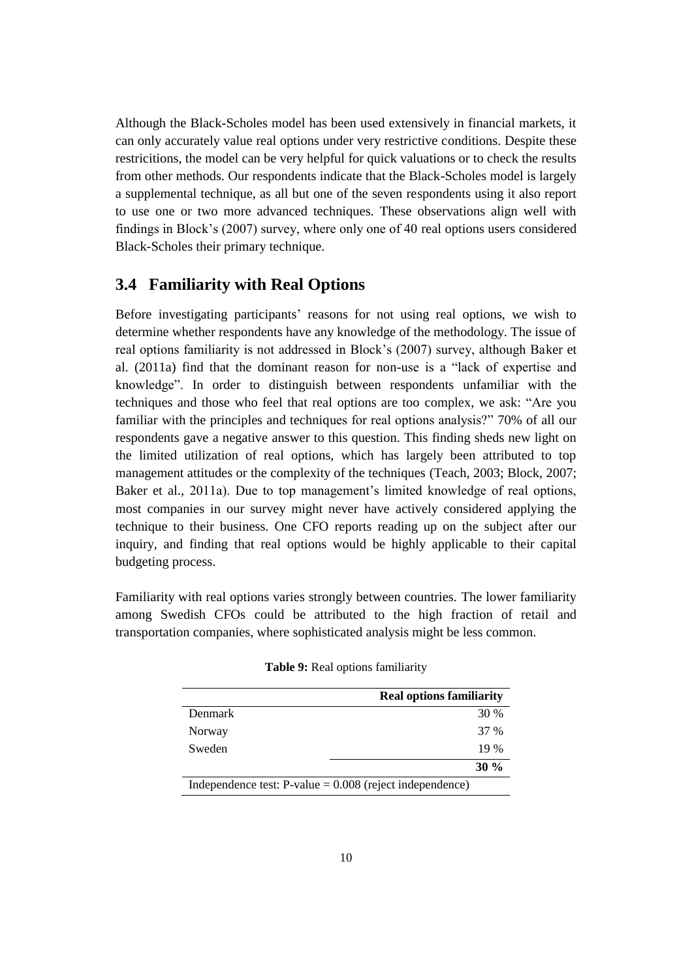Although the Black-Scholes model has been used extensively in financial markets, it can only accurately value real options under very restrictive conditions. Despite these restricitions, the model can be very helpful for quick valuations or to check the results from other methods. Our respondents indicate that the Black-Scholes model is largely a supplemental technique, as all but one of the seven respondents using it also report to use one or two more advanced techniques. These observations align well with findings in Block's (2007) survey, where only one of 40 real options users considered Black-Scholes their primary technique.

#### **3.4 Familiarity with Real Options**

Before investigating participants' reasons for not using real options, we wish to determine whether respondents have any knowledge of the methodology. The issue of real options familiarity is not addressed in Block's (2007) survey, although Baker et al. (2011a) find that the dominant reason for non-use is a "lack of expertise and knowledge". In order to distinguish between respondents unfamiliar with the techniques and those who feel that real options are too complex, we ask: "Are you familiar with the principles and techniques for real options analysis?" 70% of all our respondents gave a negative answer to this question. This finding sheds new light on the limited utilization of real options, which has largely been attributed to top management attitudes or the complexity of the techniques (Teach, 2003; Block, 2007; Baker et al., 2011a). Due to top management's limited knowledge of real options, most companies in our survey might never have actively considered applying the technique to their business. One CFO reports reading up on the subject after our inquiry, and finding that real options would be highly applicable to their capital budgeting process.

Familiarity with real options varies strongly between countries. The lower familiarity among Swedish CFOs could be attributed to the high fraction of retail and transportation companies, where sophisticated analysis might be less common.

|                | <b>Real options familiarity</b>                             |
|----------------|-------------------------------------------------------------|
| <b>Denmark</b> | 30 %                                                        |
| Norway         | 37 %                                                        |
| Sweden         | 19%                                                         |
|                | $30\%$                                                      |
|                | Independence test: $P$ -value = 0.008 (reject independence) |

**Table 9:** Real options familiarity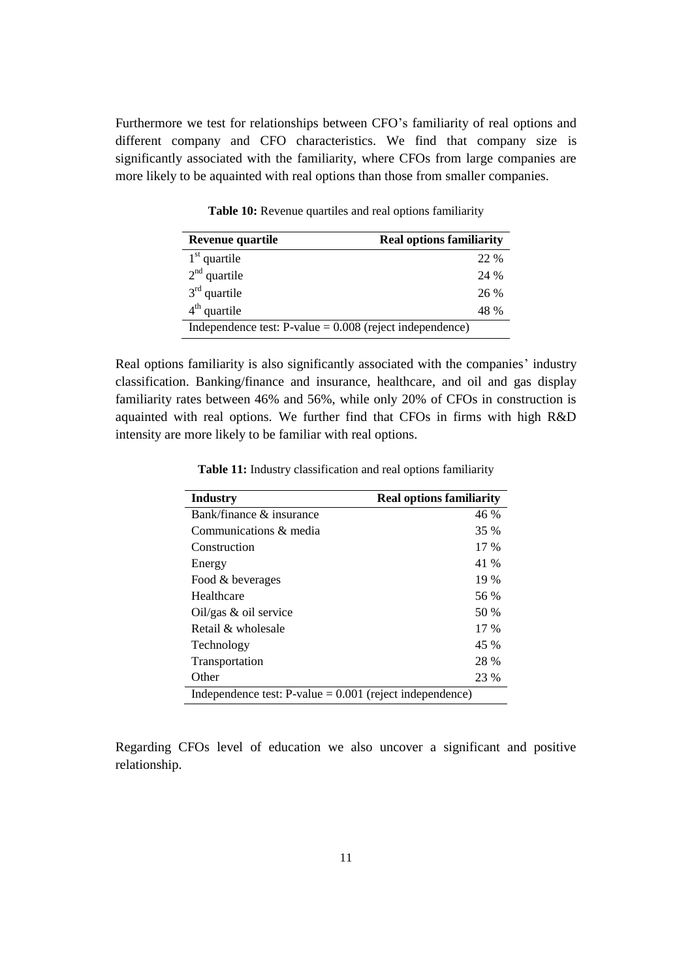Furthermore we test for relationships between CFO's familiarity of real options and different company and CFO characteristics. We find that company size is significantly associated with the familiarity, where CFOs from large companies are more likely to be aquainted with real options than those from smaller companies.

| Revenue quartile                                           | <b>Real options familiarity</b> |
|------------------------------------------------------------|---------------------------------|
| $1st$ quartile                                             | 22 %                            |
| $2nd$ quartile                                             | 24 %                            |
| $3rd$ quartile                                             | 26 %                            |
| $4th$ quartile                                             | 48 %                            |
| Independence test: $P-value = 0.008$ (reject independence) |                                 |

**Table 10:** Revenue quartiles and real options familiarity

Real options familiarity is also significantly associated with the companies' industry classification. Banking/finance and insurance, healthcare, and oil and gas display familiarity rates between 46% and 56%, while only 20% of CFOs in construction is aquainted with real options. We further find that CFOs in firms with high R&D intensity are more likely to be familiar with real options.

**Table 11:** Industry classification and real options familiarity

| <b>Industry</b>                                             | <b>Real options familiarity</b> |
|-------------------------------------------------------------|---------------------------------|
| Bank/finance $\&$ insurance                                 | 46 %                            |
| Communications & media                                      | 35 %                            |
| Construction                                                | $17\%$                          |
| Energy                                                      | 41 %                            |
| Food & beverages                                            | 19 %                            |
| Healthcare                                                  | 56 %                            |
| Oil/gas $\&$ oil service                                    | 50 %                            |
| Retail & wholesale                                          | $17\%$                          |
| Technology                                                  | 45 %                            |
| Transportation                                              | 28 %                            |
| Other                                                       | 23 %                            |
| Independence test: $P$ -value = 0.001 (reject independence) |                                 |

Regarding CFOs level of education we also uncover a significant and positive relationship.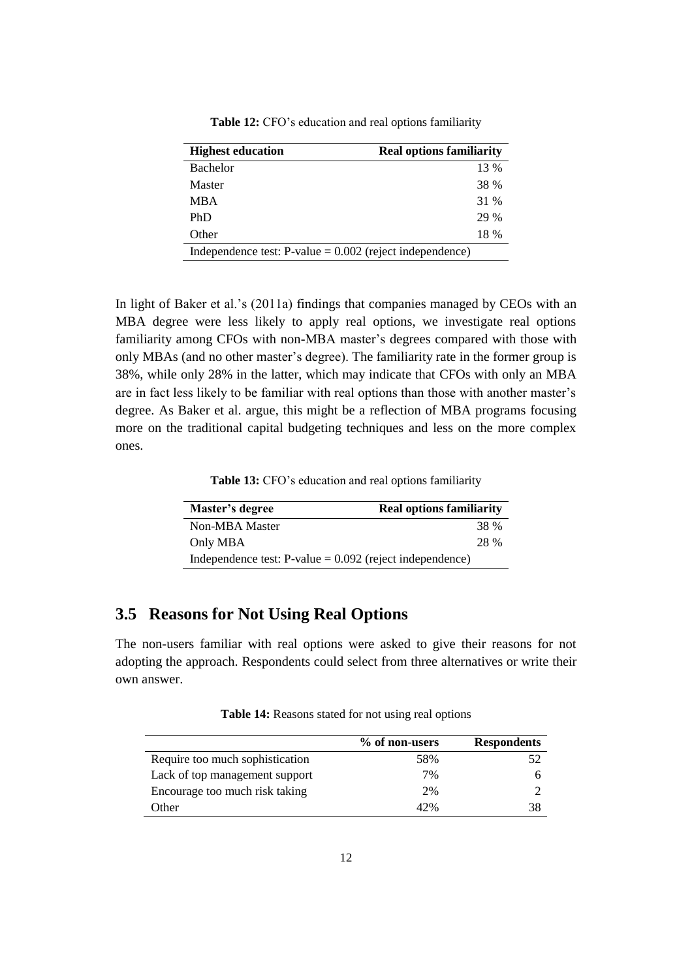| <b>Highest education</b>                                   | <b>Real options familiarity</b> |
|------------------------------------------------------------|---------------------------------|
| <b>Bachelor</b>                                            | 13 %                            |
| <b>Master</b>                                              | 38 %                            |
| <b>MBA</b>                                                 | 31 %                            |
| PhD                                                        | 29 %                            |
| Other                                                      | 18 %                            |
| Independence test: $P-value = 0.002$ (reject independence) |                                 |

**Table 12:** CFO's education and real options familiarity

In light of Baker et al.'s (2011a) findings that companies managed by CEOs with an MBA degree were less likely to apply real options, we investigate real options familiarity among CFOs with non-MBA master's degrees compared with those with only MBAs (and no other master's degree). The familiarity rate in the former group is 38%, while only 28% in the latter, which may indicate that CFOs with only an MBA are in fact less likely to be familiar with real options than those with another master's degree. As Baker et al. argue, this might be a reflection of MBA programs focusing more on the traditional capital budgeting techniques and less on the more complex ones.

**Table 13:** CFO's education and real options familiarity

| Master's degree                                            | <b>Real options familiarity</b> |  |
|------------------------------------------------------------|---------------------------------|--|
| Non-MBA Master                                             | 38 %                            |  |
| Only MBA                                                   | 28 %                            |  |
| Independence test: $P-value = 0.092$ (reject independence) |                                 |  |

## **3.5 Reasons for Not Using Real Options**

The non-users familiar with real options were asked to give their reasons for not adopting the approach. Respondents could select from three alternatives or write their own answer.

**Table 14:** Reasons stated for not using real options

|                                 | % of non-users | <b>Respondents</b> |
|---------------------------------|----------------|--------------------|
| Require too much sophistication | 58%            |                    |
| Lack of top management support  | 7%             | 6                  |
| Encourage too much risk taking  | 2%             |                    |
| Other                           | 42%            | 38                 |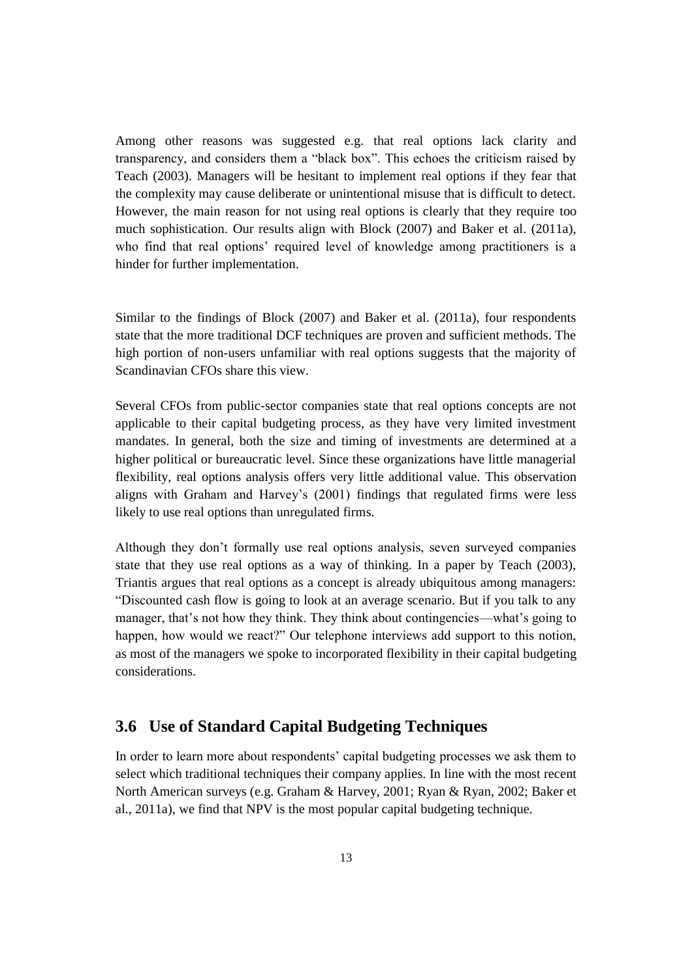Among other reasons was suggested e.g. that real options lack clarity and transparency, and considers them a "black box". This echoes the criticism raised by Teach (2003). Managers will be hesitant to implement real options if they fear that the complexity may cause deliberate or unintentional misuse that is difficult to detect. However, the main reason for not using real options is clearly that they require too much sophistication. Our results align with Block (2007) and Baker et al. (2011a), who find that real options' required level of knowledge among practitioners is a hinder for further implementation.

Similar to the findings of Block (2007) and Baker et al. (2011a), four respondents state that the more traditional DCF techniques are proven and sufficient methods. The high portion of non-users unfamiliar with real options suggests that the majority of Scandinavian CFOs share this view.

Several CFOs from public-sector companies state that real options concepts are not applicable to their capital budgeting process, as they have very limited investment mandates. In general, both the size and timing of investments are determined at a higher political or bureaucratic level. Since these organizations have little managerial flexibility, real options analysis offers very little additional value. This observation aligns with Graham and Harvey's (2001) findings that regulated firms were less likely to use real options than unregulated firms.

Although they don't formally use real options analysis, seven surveyed companies state that they use real options as a way of thinking. In a paper by Teach (2003), Triantis argues that real options as a concept is already ubiquitous among managers: "Discounted cash flow is going to look at an average scenario. But if you talk to any manager, that's not how they think. They think about contingencies—what's going to happen, how would we react?" Our telephone interviews add support to this notion, as most of the managers we spoke to incorporated flexibility in their capital budgeting considerations.

# **3.6 Use of Standard Capital Budgeting Techniques**

In order to learn more about respondents' capital budgeting processes we ask them to select which traditional techniques their company applies. In line with the most recent North American surveys (e.g. Graham & Harvey, 2001; Ryan & Ryan, 2002; Baker et al., 2011a), we find that NPV is the most popular capital budgeting technique.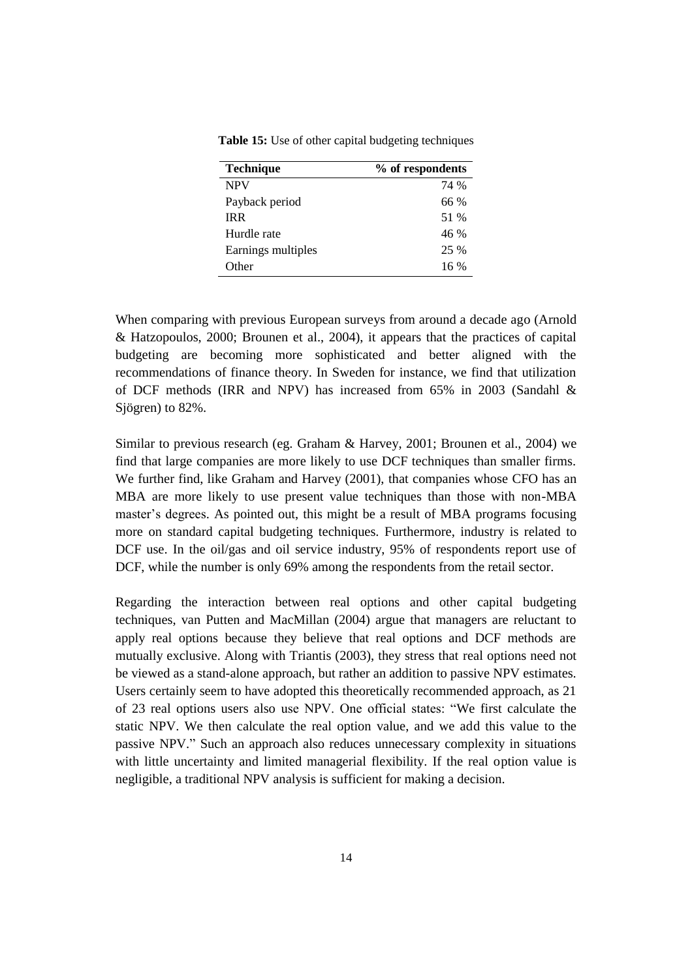| <b>Technique</b>   | % of respondents |
|--------------------|------------------|
| <b>NPV</b>         | 74 %             |
| Payback period     | 66 %             |
| <b>IRR</b>         | 51 %             |
| Hurdle rate        | 46%              |
| Earnings multiples | 25 %             |
| Other              | $16\%$           |

**Table 15:** Use of other capital budgeting techniques

When comparing with previous European surveys from around a decade ago (Arnold & Hatzopoulos, 2000; Brounen et al., 2004), it appears that the practices of capital budgeting are becoming more sophisticated and better aligned with the recommendations of finance theory. In Sweden for instance, we find that utilization of DCF methods (IRR and NPV) has increased from 65% in 2003 (Sandahl & Sjögren) to 82%.

Similar to previous research (eg. Graham & Harvey, 2001; Brounen et al., 2004) we find that large companies are more likely to use DCF techniques than smaller firms. We further find, like Graham and Harvey (2001), that companies whose CFO has an MBA are more likely to use present value techniques than those with non-MBA master's degrees. As pointed out, this might be a result of MBA programs focusing more on standard capital budgeting techniques. Furthermore, industry is related to DCF use. In the oil/gas and oil service industry, 95% of respondents report use of DCF, while the number is only 69% among the respondents from the retail sector.

Regarding the interaction between real options and other capital budgeting techniques, van Putten and MacMillan (2004) argue that managers are reluctant to apply real options because they believe that real options and DCF methods are mutually exclusive. Along with Triantis (2003), they stress that real options need not be viewed as a stand-alone approach, but rather an addition to passive NPV estimates. Users certainly seem to have adopted this theoretically recommended approach, as 21 of 23 real options users also use NPV. One official states: "We first calculate the static NPV. We then calculate the real option value, and we add this value to the passive NPV." Such an approach also reduces unnecessary complexity in situations with little uncertainty and limited managerial flexibility. If the real option value is negligible, a traditional NPV analysis is sufficient for making a decision.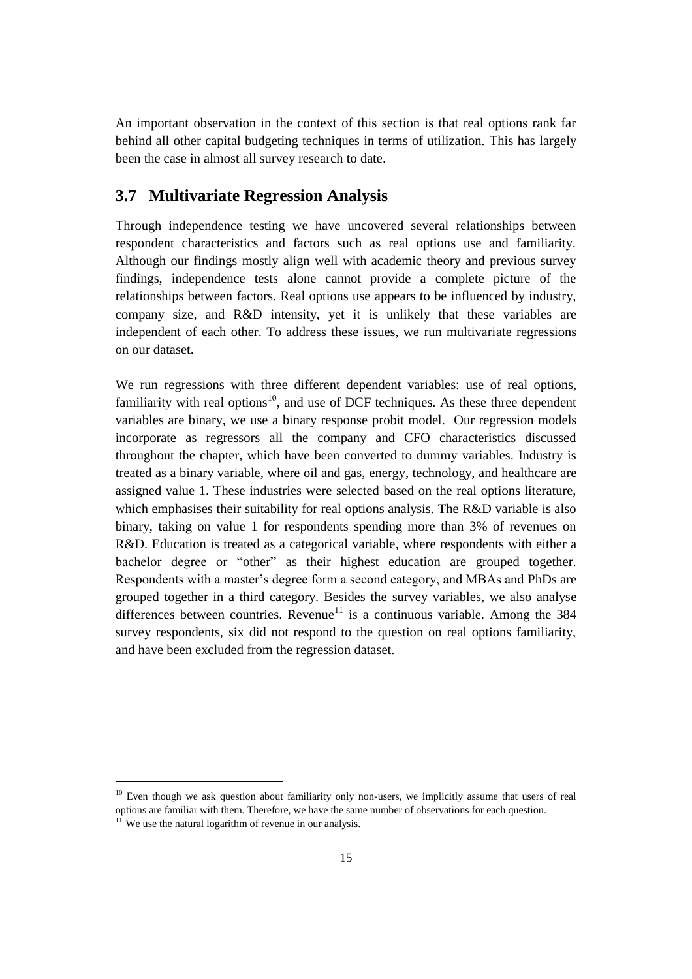An important observation in the context of this section is that real options rank far behind all other capital budgeting techniques in terms of utilization. This has largely been the case in almost all survey research to date.

#### **3.7 Multivariate Regression Analysis**

Through independence testing we have uncovered several relationships between respondent characteristics and factors such as real options use and familiarity. Although our findings mostly align well with academic theory and previous survey findings, independence tests alone cannot provide a complete picture of the relationships between factors. Real options use appears to be influenced by industry, company size, and R&D intensity, yet it is unlikely that these variables are independent of each other. To address these issues, we run multivariate regressions on our dataset.

We run regressions with three different dependent variables: use of real options, familiarity with real options $10$ , and use of DCF techniques. As these three dependent variables are binary, we use a binary response probit model. Our regression models incorporate as regressors all the company and CFO characteristics discussed throughout the chapter, which have been converted to dummy variables. Industry is treated as a binary variable, where oil and gas, energy, technology, and healthcare are assigned value 1. These industries were selected based on the real options literature, which emphasises their suitability for real options analysis. The R&D variable is also binary, taking on value 1 for respondents spending more than 3% of revenues on R&D. Education is treated as a categorical variable, where respondents with either a bachelor degree or "other" as their highest education are grouped together. Respondents with a master's degree form a second category, and MBAs and PhDs are grouped together in a third category. Besides the survey variables, we also analyse differences between countries. Revenue<sup>11</sup> is a continuous variable. Among the 384 survey respondents, six did not respond to the question on real options familiarity, and have been excluded from the regression dataset.

<sup>&</sup>lt;sup>10</sup> Even though we ask question about familiarity only non-users, we implicitly assume that users of real options are familiar with them. Therefore, we have the same number of observations for each question.

 $11$  We use the natural logarithm of revenue in our analysis.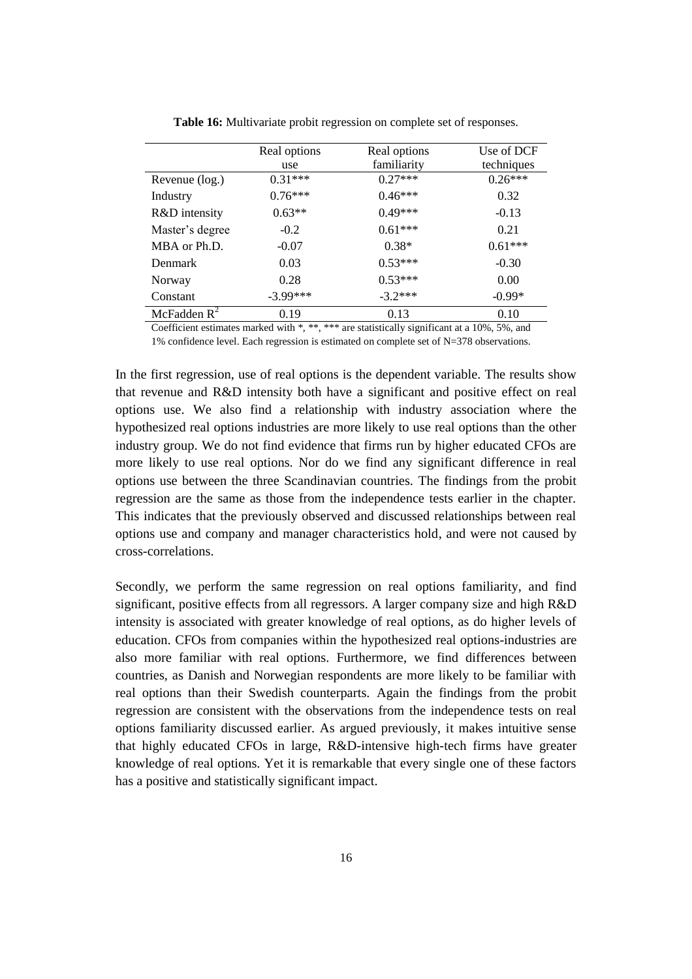|                 | Real options | Real options | Use of DCF |
|-----------------|--------------|--------------|------------|
|                 | use          | familiarity  | techniques |
| Revenue (log.)  | $0.31***$    | $0.27***$    | $0.26***$  |
| Industry        | $0.76***$    | $0.46***$    | 0.32       |
| R&D intensity   | $0.63**$     | $0.49***$    | $-0.13$    |
| Master's degree | $-0.2$       | $0.61***$    | 0.21       |
| MBA or Ph.D.    | $-0.07$      | $0.38*$      | $0.61***$  |
| <b>Denmark</b>  | 0.03         | $0.53***$    | $-0.30$    |
| Norway          | 0.28         | $0.53***$    | 0.00       |
| Constant        | $-3.99***$   | $-3.2***$    | $-0.99*$   |
| McFadden $R^2$  | 0.19         | 0.13         | 0.10       |

**Table 16:** Multivariate probit regression on complete set of responses.

Coefficient estimates marked with \*, \*\*, \*\*\* are statistically significant at a 10%, 5%, and 1% confidence level. Each regression is estimated on complete set of N=378 observations.

In the first regression, use of real options is the dependent variable. The results show that revenue and R&D intensity both have a significant and positive effect on real options use. We also find a relationship with industry association where the hypothesized real options industries are more likely to use real options than the other industry group. We do not find evidence that firms run by higher educated CFOs are more likely to use real options. Nor do we find any significant difference in real options use between the three Scandinavian countries. The findings from the probit regression are the same as those from the independence tests earlier in the chapter. This indicates that the previously observed and discussed relationships between real options use and company and manager characteristics hold, and were not caused by cross-correlations.

Secondly, we perform the same regression on real options familiarity, and find significant, positive effects from all regressors. A larger company size and high R&D intensity is associated with greater knowledge of real options, as do higher levels of education. CFOs from companies within the hypothesized real options-industries are also more familiar with real options. Furthermore, we find differences between countries, as Danish and Norwegian respondents are more likely to be familiar with real options than their Swedish counterparts. Again the findings from the probit regression are consistent with the observations from the independence tests on real options familiarity discussed earlier. As argued previously, it makes intuitive sense that highly educated CFOs in large, R&D-intensive high-tech firms have greater knowledge of real options. Yet it is remarkable that every single one of these factors has a positive and statistically significant impact.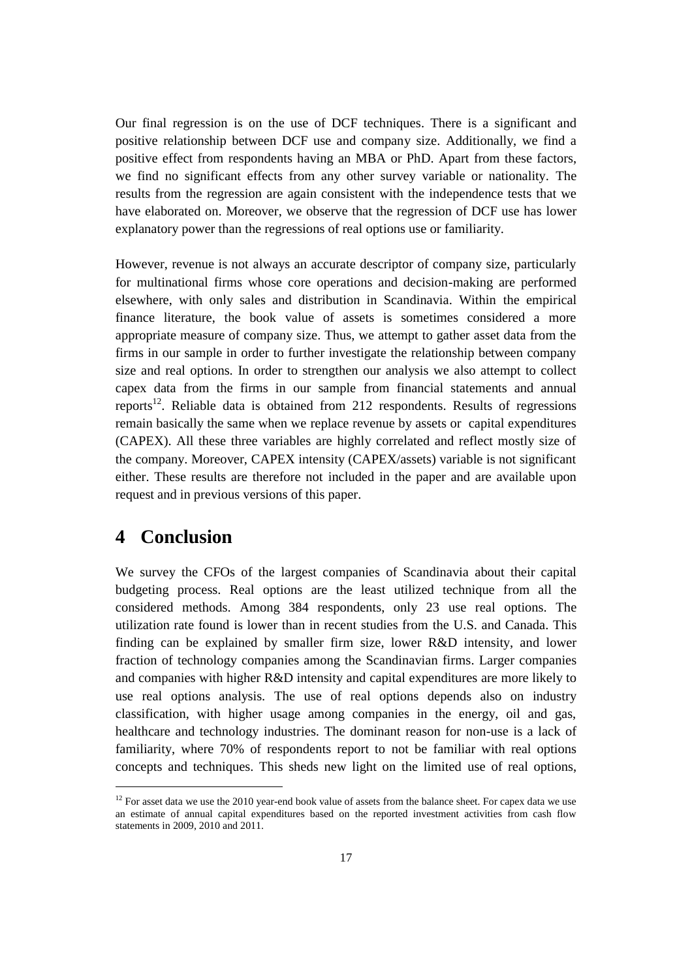Our final regression is on the use of DCF techniques. There is a significant and positive relationship between DCF use and company size. Additionally, we find a positive effect from respondents having an MBA or PhD. Apart from these factors, we find no significant effects from any other survey variable or nationality. The results from the regression are again consistent with the independence tests that we have elaborated on. Moreover, we observe that the regression of DCF use has lower explanatory power than the regressions of real options use or familiarity.

However, revenue is not always an accurate descriptor of company size, particularly for multinational firms whose core operations and decision-making are performed elsewhere, with only sales and distribution in Scandinavia. Within the empirical finance literature, the book value of assets is sometimes considered a more appropriate measure of company size. Thus, we attempt to gather asset data from the firms in our sample in order to further investigate the relationship between company size and real options. In order to strengthen our analysis we also attempt to collect capex data from the firms in our sample from financial statements and annual reports<sup>12</sup>. Reliable data is obtained from 212 respondents. Results of regressions remain basically the same when we replace revenue by assets or capital expenditures (CAPEX). All these three variables are highly correlated and reflect mostly size of the company. Moreover, CAPEX intensity (CAPEX/assets) variable is not significant either. These results are therefore not included in the paper and are available upon request and in previous versions of this paper.

# **4 Conclusion**

 $\overline{a}$ 

We survey the CFOs of the largest companies of Scandinavia about their capital budgeting process. Real options are the least utilized technique from all the considered methods. Among 384 respondents, only 23 use real options. The utilization rate found is lower than in recent studies from the U.S. and Canada. This finding can be explained by smaller firm size, lower R&D intensity, and lower fraction of technology companies among the Scandinavian firms. Larger companies and companies with higher R&D intensity and capital expenditures are more likely to use real options analysis. The use of real options depends also on industry classification, with higher usage among companies in the energy, oil and gas, healthcare and technology industries. The dominant reason for non-use is a lack of familiarity, where 70% of respondents report to not be familiar with real options concepts and techniques. This sheds new light on the limited use of real options,

<sup>&</sup>lt;sup>12</sup> For asset data we use the 2010 year-end book value of assets from the balance sheet. For capex data we use an estimate of annual capital expenditures based on the reported investment activities from cash flow statements in 2009, 2010 and 2011.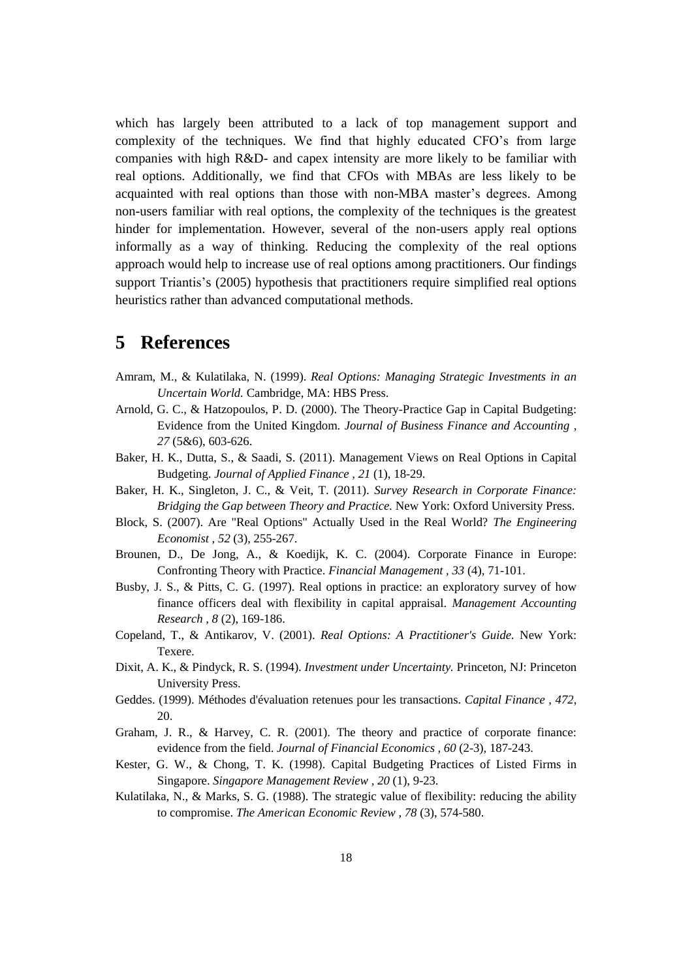which has largely been attributed to a lack of top management support and complexity of the techniques. We find that highly educated CFO's from large companies with high R&D- and capex intensity are more likely to be familiar with real options. Additionally, we find that CFOs with MBAs are less likely to be acquainted with real options than those with non-MBA master's degrees. Among non-users familiar with real options, the complexity of the techniques is the greatest hinder for implementation. However, several of the non-users apply real options informally as a way of thinking. Reducing the complexity of the real options approach would help to increase use of real options among practitioners. Our findings support Triantis's (2005) hypothesis that practitioners require simplified real options heuristics rather than advanced computational methods.

# **5 References**

- Amram, M., & Kulatilaka, N. (1999). *Real Options: Managing Strategic Investments in an Uncertain World.* Cambridge, MA: HBS Press.
- Arnold, G. C., & Hatzopoulos, P. D. (2000). The Theory-Practice Gap in Capital Budgeting: Evidence from the United Kingdom. *Journal of Business Finance and Accounting , 27* (5&6), 603-626.
- Baker, H. K., Dutta, S., & Saadi, S. (2011). Management Views on Real Options in Capital Budgeting. *Journal of Applied Finance , 21* (1), 18-29.
- Baker, H. K., Singleton, J. C., & Veit, T. (2011). *Survey Research in Corporate Finance: Bridging the Gap between Theory and Practice.* New York: Oxford University Press.
- Block, S. (2007). Are "Real Options" Actually Used in the Real World? *The Engineering Economist , 52* (3), 255-267.
- Brounen, D., De Jong, A., & Koedijk, K. C. (2004). Corporate Finance in Europe: Confronting Theory with Practice. *Financial Management , 33* (4), 71-101.
- Busby, J. S., & Pitts, C. G. (1997). Real options in practice: an exploratory survey of how finance officers deal with flexibility in capital appraisal. *Management Accounting Research , 8* (2), 169-186.
- Copeland, T., & Antikarov, V. (2001). *Real Options: A Practitioner's Guide.* New York: Texere.
- Dixit, A. K., & Pindyck, R. S. (1994). *Investment under Uncertainty.* Princeton, NJ: Princeton University Press.
- Geddes. (1999). Méthodes d'évaluation retenues pour les transactions. *Capital Finance , 472*, 20.
- Graham, J. R., & Harvey, C. R. (2001). The theory and practice of corporate finance: evidence from the field. *Journal of Financial Economics , 60* (2-3), 187-243.
- Kester, G. W., & Chong, T. K. (1998). Capital Budgeting Practices of Listed Firms in Singapore. *Singapore Management Review , 20* (1), 9-23.
- Kulatilaka, N., & Marks, S. G. (1988). The strategic value of flexibility: reducing the ability to compromise. *The American Economic Review , 78* (3), 574-580.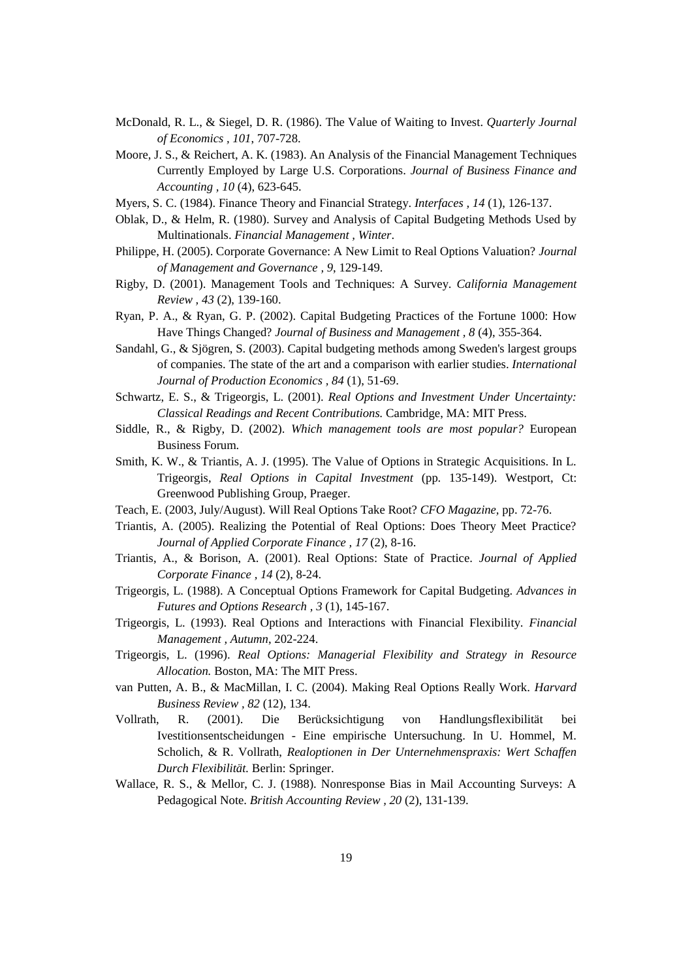- McDonald, R. L., & Siegel, D. R. (1986). The Value of Waiting to Invest. *Quarterly Journal of Economics , 101*, 707-728.
- Moore, J. S., & Reichert, A. K. (1983). An Analysis of the Financial Management Techniques Currently Employed by Large U.S. Corporations. *Journal of Business Finance and Accounting , 10* (4), 623-645.
- Myers, S. C. (1984). Finance Theory and Financial Strategy. *Interfaces , 14* (1), 126-137.
- Oblak, D., & Helm, R. (1980). Survey and Analysis of Capital Budgeting Methods Used by Multinationals. *Financial Management , Winter*.
- Philippe, H. (2005). Corporate Governance: A New Limit to Real Options Valuation? *Journal of Management and Governance , 9*, 129-149.
- Rigby, D. (2001). Management Tools and Techniques: A Survey. *California Management Review , 43* (2), 139-160.
- Ryan, P. A., & Ryan, G. P. (2002). Capital Budgeting Practices of the Fortune 1000: How Have Things Changed? *Journal of Business and Management , 8* (4), 355-364.
- Sandahl, G., & Sjögren, S. (2003). Capital budgeting methods among Sweden's largest groups of companies. The state of the art and a comparison with earlier studies. *International Journal of Production Economics , 84* (1), 51-69.
- Schwartz, E. S., & Trigeorgis, L. (2001). *Real Options and Investment Under Uncertainty: Classical Readings and Recent Contributions.* Cambridge, MA: MIT Press.
- Siddle, R., & Rigby, D. (2002). *Which management tools are most popular?* European Business Forum.
- Smith, K. W., & Triantis, A. J. (1995). The Value of Options in Strategic Acquisitions. In L. Trigeorgis, *Real Options in Capital Investment* (pp. 135-149). Westport, Ct: Greenwood Publishing Group, Praeger.
- Teach, E. (2003, July/August). Will Real Options Take Root? *CFO Magazine,* pp. 72-76.
- Triantis, A. (2005). Realizing the Potential of Real Options: Does Theory Meet Practice? *Journal of Applied Corporate Finance , 17* (2), 8-16.
- Triantis, A., & Borison, A. (2001). Real Options: State of Practice. *Journal of Applied Corporate Finance , 14* (2), 8-24.
- Trigeorgis, L. (1988). A Conceptual Options Framework for Capital Budgeting. *Advances in Futures and Options Research , 3* (1), 145-167.
- Trigeorgis, L. (1993). Real Options and Interactions with Financial Flexibility. *Financial Management , Autumn*, 202-224.
- Trigeorgis, L. (1996). *Real Options: Managerial Flexibility and Strategy in Resource Allocation.* Boston, MA: The MIT Press.
- van Putten, A. B., & MacMillan, I. C. (2004). Making Real Options Really Work. *Harvard Business Review , 82* (12), 134.
- Vollrath, R. (2001). Die Berücksichtigung von Handlungsflexibilität bei Ivestitionsentscheidungen - Eine empirische Untersuchung. In U. Hommel, M. Scholich, & R. Vollrath, *Realoptionen in Der Unternehmenspraxis: Wert Schaffen Durch Flexibilität.* Berlin: Springer.
- Wallace, R. S., & Mellor, C. J. (1988). Nonresponse Bias in Mail Accounting Surveys: A Pedagogical Note. *British Accounting Review , 20* (2), 131-139.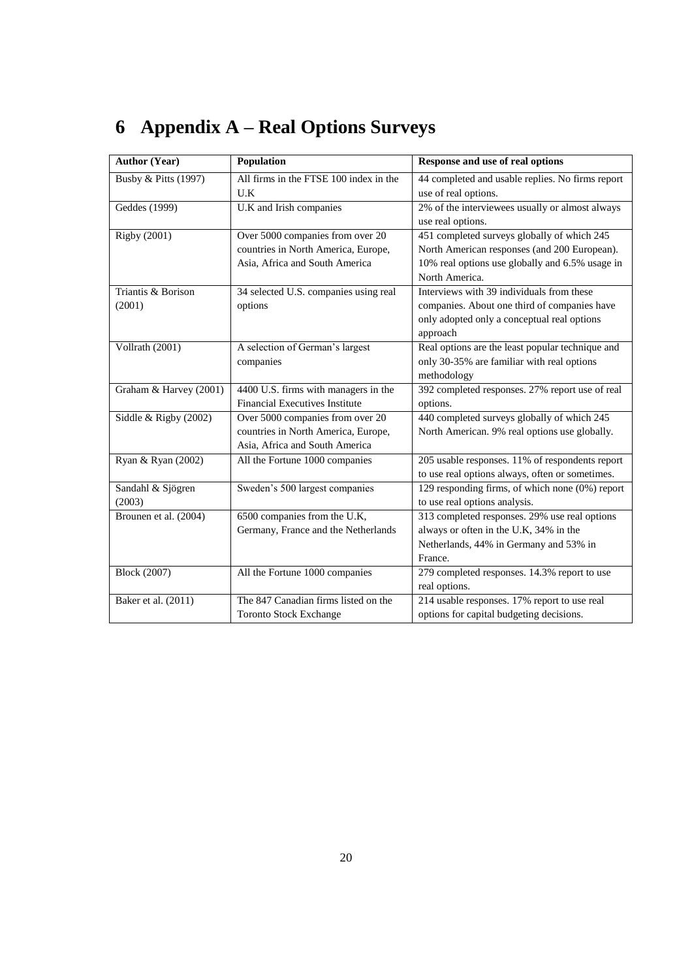# **6 Appendix A – Real Options Surveys**

| <b>Author (Year)</b>    | Population                             | Response and use of real options                 |
|-------------------------|----------------------------------------|--------------------------------------------------|
| Busby & Pitts (1997)    | All firms in the FTSE 100 index in the | 44 completed and usable replies. No firms report |
|                         | U.K                                    | use of real options.                             |
| Geddes (1999)           | U.K and Irish companies                | 2% of the interviewees usually or almost always  |
|                         |                                        | use real options.                                |
| <b>Rigby (2001)</b>     | Over 5000 companies from over 20       | 451 completed surveys globally of which 245      |
|                         | countries in North America, Europe,    | North American responses (and 200 European).     |
|                         | Asia, Africa and South America         | 10% real options use globally and 6.5% usage in  |
|                         |                                        | North America.                                   |
| Triantis & Borison      | 34 selected U.S. companies using real  | Interviews with 39 individuals from these        |
| (2001)                  | options                                | companies. About one third of companies have     |
|                         |                                        | only adopted only a conceptual real options      |
|                         |                                        | approach                                         |
| Vollrath (2001)         | A selection of German's largest        | Real options are the least popular technique and |
|                         | companies                              | only 30-35% are familiar with real options       |
|                         |                                        | methodology                                      |
| Graham & Harvey (2001)  | 4400 U.S. firms with managers in the   | 392 completed responses. 27% report use of real  |
|                         | <b>Financial Executives Institute</b>  | options.                                         |
| Siddle & Rigby $(2002)$ | Over 5000 companies from over 20       | 440 completed surveys globally of which 245      |
|                         | countries in North America, Europe,    | North American. 9% real options use globally.    |
|                         | Asia, Africa and South America         |                                                  |
| Ryan & Ryan (2002)      | All the Fortune 1000 companies         | 205 usable responses. 11% of respondents report  |
|                         |                                        | to use real options always, often or sometimes.  |
| Sandahl & Sjögren       | Sweden's 500 largest companies         | 129 responding firms, of which none (0%) report  |
| (2003)                  |                                        | to use real options analysis.                    |
| Brounen et al. (2004)   | 6500 companies from the U.K,           | 313 completed responses. 29% use real options    |
|                         | Germany, France and the Netherlands    | always or often in the U.K, 34% in the           |
|                         |                                        | Netherlands, 44% in Germany and 53% in           |
|                         |                                        | France.                                          |
| <b>Block (2007)</b>     | All the Fortune 1000 companies         | 279 completed responses. 14.3% report to use     |
|                         |                                        | real options.                                    |
| Baker et al. (2011)     | The 847 Canadian firms listed on the   | 214 usable responses. 17% report to use real     |
|                         | <b>Toronto Stock Exchange</b>          | options for capital budgeting decisions.         |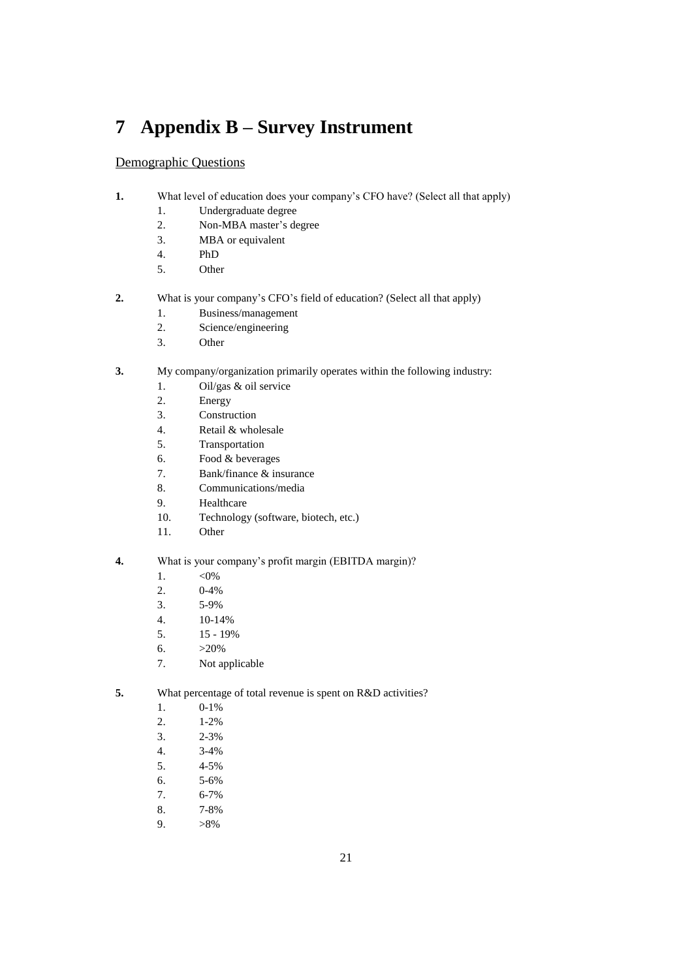# **7 Appendix B – Survey Instrument**

#### Demographic Questions

- **1.** What level of education does your company's CFO have? (Select all that apply)
	- 1. Undergraduate degree
	- 2. Non-MBA master's degree
	- 3. MBA or equivalent
	- 4. PhD
	- 5. Other
- **2.** What is your company's CFO's field of education? (Select all that apply)
	- 1. Business/management
	- 2. Science/engineering
	- 3. Other
- **3.** My company/organization primarily operates within the following industry:
	- 1. Oil/gas & oil service
	- 2. Energy
	- 3. Construction
	- 4. Retail & wholesale
	- 5. Transportation
	- 6. Food & beverages
	- 7. Bank/finance & insurance
	- 8. Communications/media
	- 9. Healthcare
	- 10. Technology (software, biotech, etc.)
	- 11. Other
- **4.** What is your company's profit margin (EBITDA margin)?
	- 1. <0%
	- 2. 0-4%
	- 3. 5-9%
	- 4. 10-14%
	- 5. 15 19%
	- 6.  $>20\%$
	- 7. Not applicable
- **5.** What percentage of total revenue is spent on R&D activities?
	- 1. 0-1%
	- 2. 1-2%
	- 3. 2-3%
	- 4. 3-4%
	- 5. 4-5%
	- 6. 5-6%
	- 7. 6-7%
	- 8. 7-8%
	-
	- 9.  $>8\%$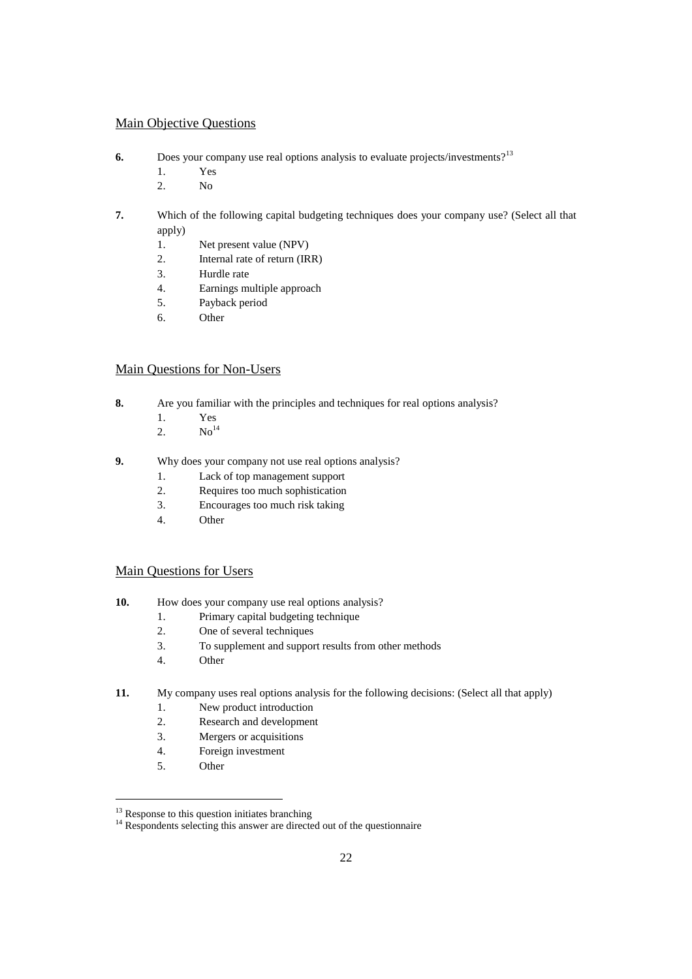#### Main Objective Questions

- **6.** Does your company use real options analysis to evaluate projects/investments?<sup>13</sup>
	- 1. Yes
	- 2. No
- **7.** Which of the following capital budgeting techniques does your company use? (Select all that apply)
	- 1. Net present value (NPV)
	- 2. Internal rate of return (IRR)
	- 3. Hurdle rate
	- 4. Earnings multiple approach
	- 5. Payback period
	- 6. Other

#### Main Questions for Non-Users

- **8.** Are you familiar with the principles and techniques for real options analysis?
	- 1. Yes
	- 2.  $No^{14}$
- **9.** Why does your company not use real options analysis?
	- 1. Lack of top management support
	- 2. Requires too much sophistication
	- 3. Encourages too much risk taking
	- 4. Other

#### Main Questions for Users

- **10.** How does your company use real options analysis?
	- 1. Primary capital budgeting technique
	- 2. One of several techniques
	- 3. To supplement and support results from other methods
	- 4. Other

#### **11.** My company uses real options analysis for the following decisions: (Select all that apply)

- 1. New product introduction
- 2. Research and development
- 3. Mergers or acquisitions
- 4. Foreign investment
- 5. Other

 $13$  Response to this question initiates branching

 $14$  Respondents selecting this answer are directed out of the questionnaire